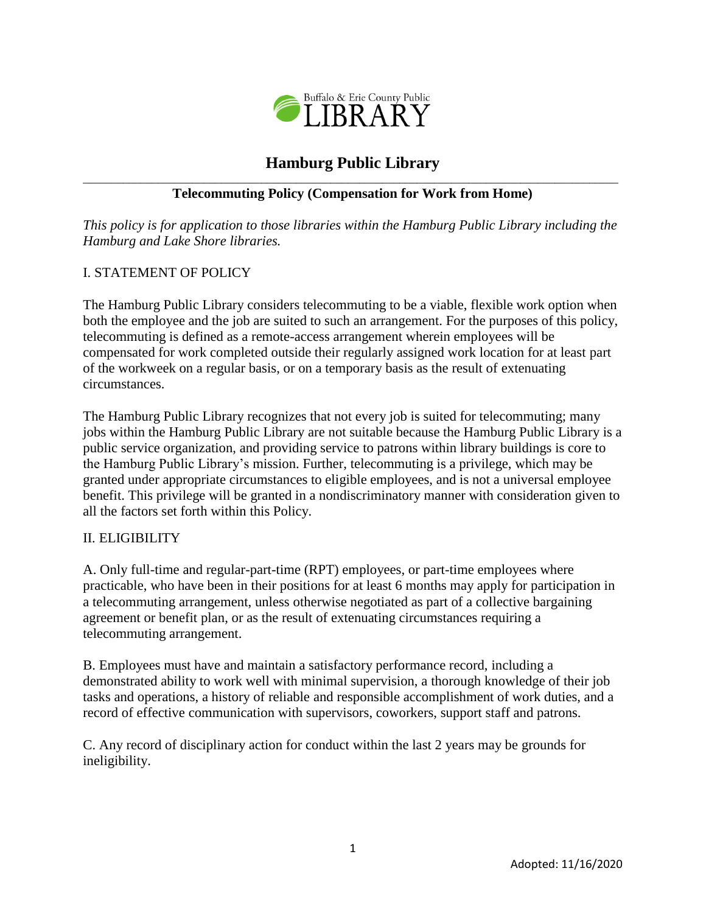

# **Hamburg Public Library**

#### $\_$  ,  $\_$  ,  $\_$  ,  $\_$  ,  $\_$  ,  $\_$  ,  $\_$  ,  $\_$  ,  $\_$  ,  $\_$  ,  $\_$  ,  $\_$  ,  $\_$  ,  $\_$  ,  $\_$  ,  $\_$  ,  $\_$  ,  $\_$  ,  $\_$  ,  $\_$  ,  $\_$  ,  $\_$  ,  $\_$  ,  $\_$  ,  $\_$  ,  $\_$  ,  $\_$  ,  $\_$  ,  $\_$  ,  $\_$  ,  $\_$  ,  $\_$  ,  $\_$  ,  $\_$  ,  $\_$  ,  $\_$  ,  $\_$  , **Telecommuting Policy (Compensation for Work from Home)**

*This policy is for application to those libraries within the Hamburg Public Library including the Hamburg and Lake Shore libraries.*

# I. STATEMENT OF POLICY

The Hamburg Public Library considers telecommuting to be a viable, flexible work option when both the employee and the job are suited to such an arrangement. For the purposes of this policy, telecommuting is defined as a remote-access arrangement wherein employees will be compensated for work completed outside their regularly assigned work location for at least part of the workweek on a regular basis, or on a temporary basis as the result of extenuating circumstances.

The Hamburg Public Library recognizes that not every job is suited for telecommuting; many jobs within the Hamburg Public Library are not suitable because the Hamburg Public Library is a public service organization, and providing service to patrons within library buildings is core to the Hamburg Public Library's mission. Further, telecommuting is a privilege, which may be granted under appropriate circumstances to eligible employees, and is not a universal employee benefit. This privilege will be granted in a nondiscriminatory manner with consideration given to all the factors set forth within this Policy.

## II. ELIGIBILITY

A. Only full-time and regular-part-time (RPT) employees, or part-time employees where practicable, who have been in their positions for at least 6 months may apply for participation in a telecommuting arrangement, unless otherwise negotiated as part of a collective bargaining agreement or benefit plan, or as the result of extenuating circumstances requiring a telecommuting arrangement.

B. Employees must have and maintain a satisfactory performance record, including a demonstrated ability to work well with minimal supervision, a thorough knowledge of their job tasks and operations, a history of reliable and responsible accomplishment of work duties, and a record of effective communication with supervisors, coworkers, support staff and patrons.

C. Any record of disciplinary action for conduct within the last 2 years may be grounds for ineligibility.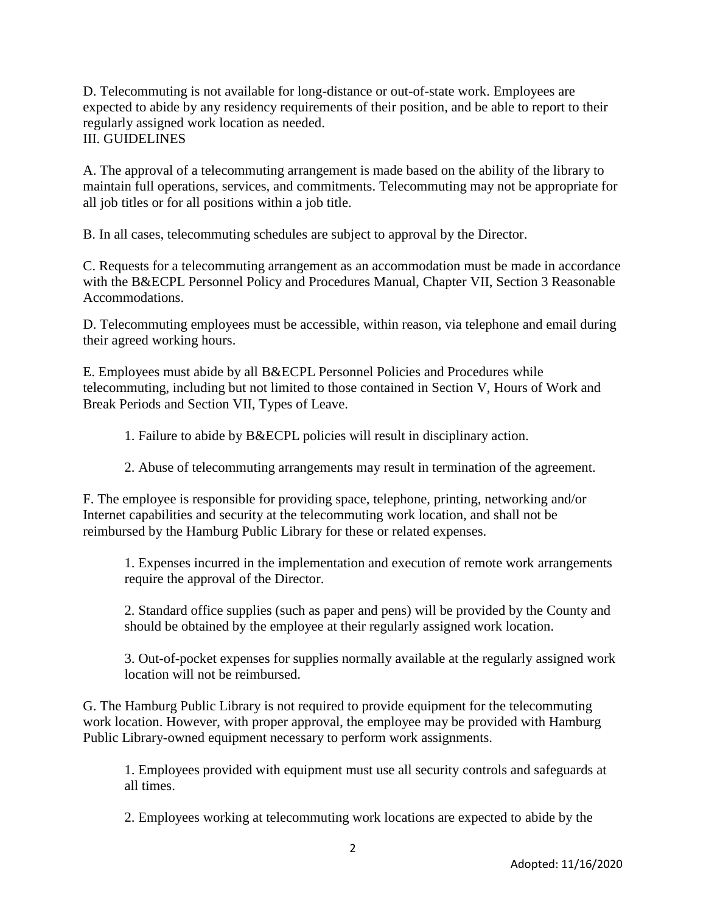D. Telecommuting is not available for long-distance or out-of-state work. Employees are expected to abide by any residency requirements of their position, and be able to report to their regularly assigned work location as needed. III. GUIDELINES

A. The approval of a telecommuting arrangement is made based on the ability of the library to maintain full operations, services, and commitments. Telecommuting may not be appropriate for all job titles or for all positions within a job title.

B. In all cases, telecommuting schedules are subject to approval by the Director.

C. Requests for a telecommuting arrangement as an accommodation must be made in accordance with the B&ECPL Personnel Policy and Procedures Manual, Chapter VII, Section 3 Reasonable Accommodations.

D. Telecommuting employees must be accessible, within reason, via telephone and email during their agreed working hours.

E. Employees must abide by all B&ECPL Personnel Policies and Procedures while telecommuting, including but not limited to those contained in Section V, Hours of Work and Break Periods and Section VII, Types of Leave.

1. Failure to abide by B&ECPL policies will result in disciplinary action.

2. Abuse of telecommuting arrangements may result in termination of the agreement.

F. The employee is responsible for providing space, telephone, printing, networking and/or Internet capabilities and security at the telecommuting work location, and shall not be reimbursed by the Hamburg Public Library for these or related expenses.

1. Expenses incurred in the implementation and execution of remote work arrangements require the approval of the Director.

2. Standard office supplies (such as paper and pens) will be provided by the County and should be obtained by the employee at their regularly assigned work location.

3. Out-of-pocket expenses for supplies normally available at the regularly assigned work location will not be reimbursed.

G. The Hamburg Public Library is not required to provide equipment for the telecommuting work location. However, with proper approval, the employee may be provided with Hamburg Public Library-owned equipment necessary to perform work assignments.

1. Employees provided with equipment must use all security controls and safeguards at all times.

2. Employees working at telecommuting work locations are expected to abide by the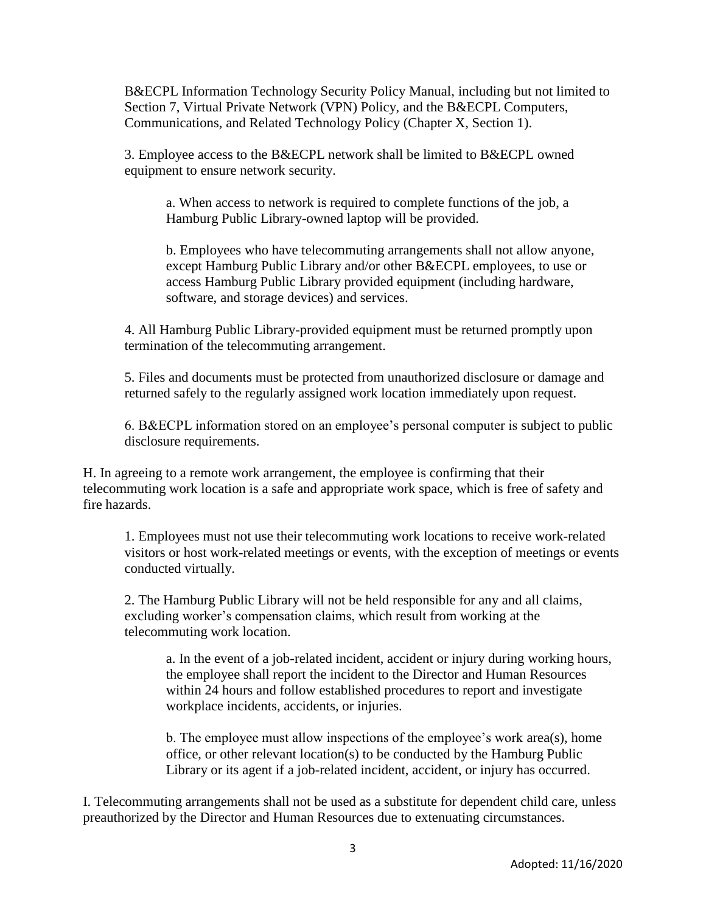B&ECPL Information Technology Security Policy Manual, including but not limited to Section 7, Virtual Private Network (VPN) Policy, and the B&ECPL Computers, Communications, and Related Technology Policy (Chapter X, Section 1).

3. Employee access to the B&ECPL network shall be limited to B&ECPL owned equipment to ensure network security.

a. When access to network is required to complete functions of the job, a Hamburg Public Library-owned laptop will be provided.

b. Employees who have telecommuting arrangements shall not allow anyone, except Hamburg Public Library and/or other B&ECPL employees, to use or access Hamburg Public Library provided equipment (including hardware, software, and storage devices) and services.

4. All Hamburg Public Library-provided equipment must be returned promptly upon termination of the telecommuting arrangement.

5. Files and documents must be protected from unauthorized disclosure or damage and returned safely to the regularly assigned work location immediately upon request.

6. B&ECPL information stored on an employee's personal computer is subject to public disclosure requirements.

H. In agreeing to a remote work arrangement, the employee is confirming that their telecommuting work location is a safe and appropriate work space, which is free of safety and fire hazards.

1. Employees must not use their telecommuting work locations to receive work-related visitors or host work-related meetings or events, with the exception of meetings or events conducted virtually.

2. The Hamburg Public Library will not be held responsible for any and all claims, excluding worker's compensation claims, which result from working at the telecommuting work location.

a. In the event of a job-related incident, accident or injury during working hours, the employee shall report the incident to the Director and Human Resources within 24 hours and follow established procedures to report and investigate workplace incidents, accidents, or injuries.

b. The employee must allow inspections of the employee's work area(s), home office, or other relevant location(s) to be conducted by the Hamburg Public Library or its agent if a job-related incident, accident, or injury has occurred.

I. Telecommuting arrangements shall not be used as a substitute for dependent child care, unless preauthorized by the Director and Human Resources due to extenuating circumstances.